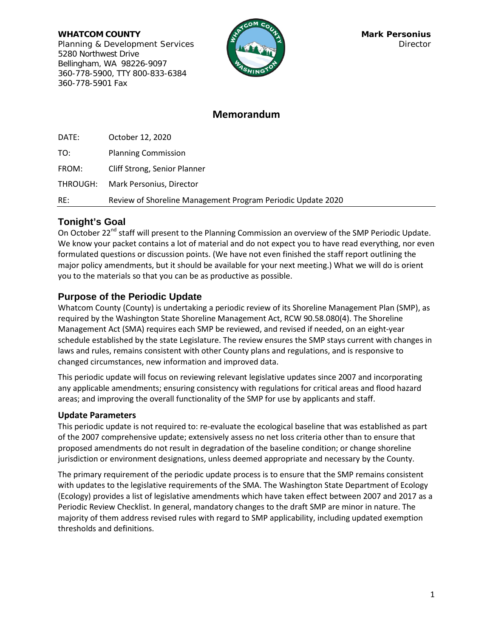**WHATCOM COUNTY Mark Personius Mark Personius** Planning & Development Services **Director Director** 5280 Northwest Drive Bellingham, WA 98226-9097 360-778-5900, TTY 800-833-6384 360-778-5901 Fax



# **Memorandum**

| DATE: | October 12, 2020                                            |
|-------|-------------------------------------------------------------|
| TO:   | <b>Planning Commission</b>                                  |
| FROM: | Cliff Strong, Senior Planner                                |
|       | THROUGH: Mark Personius, Director                           |
| RE:   | Review of Shoreline Management Program Periodic Update 2020 |

## **Tonight's Goal**

On October 22<sup>nd</sup> staff will present to the Planning Commission an overview of the SMP Periodic Update. We know your packet contains a lot of material and do not expect you to have read everything, nor even formulated questions or discussion points. (We have not even finished the staff report outlining the major policy amendments, but it should be available for your next meeting.) What we will do is orient you to the materials so that you can be as productive as possible.

## **Purpose of the Periodic Update**

Whatcom County (County) is undertaking a periodic review of its Shoreline Management Plan (SMP), as required by the Washington State Shoreline Management Act, RCW 90.58.080(4). The Shoreline Management Act (SMA) requires each SMP be reviewed, and revised if needed, on an eight-year schedule established by the state Legislature. The review ensures the SMP stays current with changes in laws and rules, remains consistent with other County plans and regulations, and is responsive to changed circumstances, new information and improved data.

This periodic update will focus on reviewing relevant legislative updates since 2007 and incorporating any applicable amendments; ensuring consistency with regulations for critical areas and flood hazard areas; and improving the overall functionality of the SMP for use by applicants and staff.

## **Update Parameters**

This periodic update is not required to: re-evaluate the ecological baseline that was established as part of the 2007 comprehensive update; extensively assess no net loss criteria other than to ensure that proposed amendments do not result in degradation of the baseline condition; or change shoreline jurisdiction or environment designations, unless deemed appropriate and necessary by the County.

The primary requirement of the periodic update process is to ensure that the SMP remains consistent with updates to the legislative requirements of the SMA. The Washington State Department of Ecology (Ecology) provides a list of legislative amendments which have taken effect between 2007 and 2017 as a Periodic Review Checklist. In general, mandatory changes to the draft SMP are minor in nature. The majority of them address revised rules with regard to SMP applicability, including updated exemption thresholds and definitions.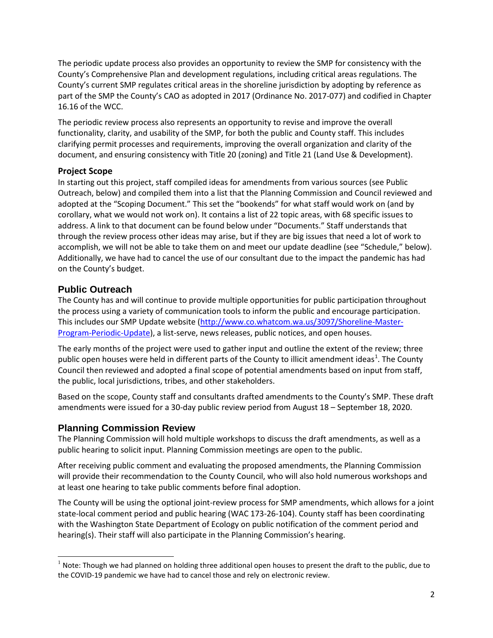The periodic update process also provides an opportunity to review the SMP for consistency with the County's Comprehensive Plan and development regulations, including critical areas regulations. The County's current SMP regulates critical areas in the shoreline jurisdiction by adopting by reference as part of the SMP the County's CAO as adopted in 2017 (Ordinance No. 2017-077) and codified in Chapter 16.16 of the WCC.

The periodic review process also represents an opportunity to revise and improve the overall functionality, clarity, and usability of the SMP, for both the public and County staff. This includes clarifying permit processes and requirements, improving the overall organization and clarity of the document, and ensuring consistency with Title 20 (zoning) and Title 21 (Land Use & Development).

### **Project Scope**

In starting out this project, staff compiled ideas for amendments from various sources (se[e Public](#page-1-0)  [Outreach,](#page-1-0) below) and compiled them into a list that the Planning Commission and Council reviewed and adopted at the "Scoping Document." This set the "bookends" for what staff would work on (and by corollary, what we would not work on). It contains a list of 22 topic areas, with 68 specific issues to address. A link to that document can be found below under ["Documents.](#page-2-0)" Staff understands that through the review process other ideas may arise, but if they are big issues that need a lot of work to accomplish, we will not be able to take them on and meet our update deadline (see ["Schedule,](#page-2-1)" below). Additionally, we have had to cancel the use of our consultant due to the impact the pandemic has had on the County's budget.

### <span id="page-1-0"></span>**Public Outreach**

The County has and will continue to provide multiple opportunities for public participation throughout the process using a variety of communication tools to inform the public and encourage participation. This includes our SMP Update website [\(http://www.co.whatcom.wa.us/3097/Shoreline-Master-](http://www.co.whatcom.wa.us/3097/Shoreline-Master-Program-Periodic-Update)[Program-Periodic-Update\)](http://www.co.whatcom.wa.us/3097/Shoreline-Master-Program-Periodic-Update), a list-serve, news releases, public notices, and open houses.

The early months of the project were used to gather input and outline the extent of the review; three public open houses were held in different parts of the County to illicit amendment ideas<sup>[1](#page-1-1)</sup>. The County Council then reviewed and adopted a final scope of potential amendments based on input from staff, the public, local jurisdictions, tribes, and other stakeholders.

Based on the scope, County staff and consultants drafted amendments to the County's SMP. These draft amendments were issued for a 30-day public review period from August 18 – September 18, 2020.

## **Planning Commission Review**

The Planning Commission will hold multiple workshops to discuss the draft amendments, as well as a public hearing to solicit input. Planning Commission meetings are open to the public.

After receiving public comment and evaluating the proposed amendments, the Planning Commission will provide their recommendation to the County Council, who will also hold numerous workshops and at least one hearing to take public comments before final adoption.

The County will be using the optional joint-review process for SMP amendments, which allows for a joint state-local comment period and public hearing (WAC 173-26-104). County staff has been coordinating with the Washington State Department of Ecology on public notification of the comment period and hearing(s). Their staff will also participate in the Planning Commission's hearing.

<span id="page-1-1"></span> $1$  Note: Though we had planned on holding three additional open houses to present the draft to the public, due to the COVID-19 pandemic we have had to cancel those and rely on electronic review.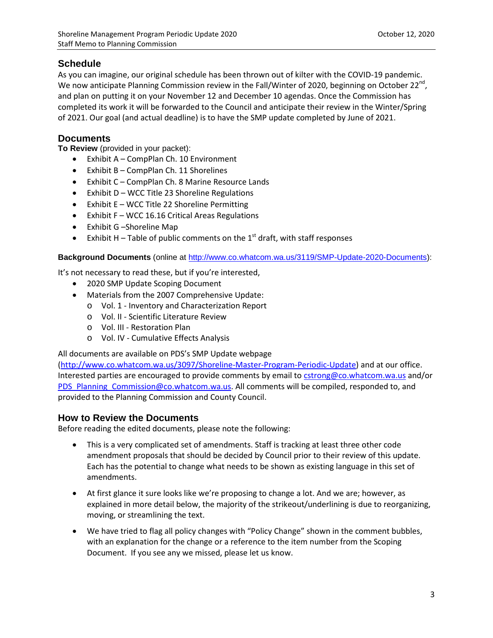## <span id="page-2-1"></span>**Schedule**

As you can imagine, our original schedule has been thrown out of kilter with the COVID-19 pandemic. We now anticipate Planning Commission review in the Fall/Winter of 2020, beginning on October 22<sup>nd</sup>, and plan on putting it on your November 12 and December 10 agendas. Once the Commission has completed its work it will be forwarded to the Council and anticipate their review in the Winter/Spring of 2021. Our goal (and actual deadline) is to have the SMP update completed by June of 2021.

### <span id="page-2-0"></span>**Documents**

**To Review** (provided in your packet):

- Exhibit A CompPlan Ch. 10 Environment
- Exhibit B CompPlan Ch. 11 Shorelines
- Exhibit C CompPlan Ch. 8 Marine Resource Lands
- Exhibit D WCC Title 23 Shoreline Regulations
- Exhibit E WCC Title 22 Shoreline Permitting
- Exhibit F WCC 16.16 Critical Areas Regulations
- Exhibit G –Shoreline Map
- Exhibit H Table of public comments on the  $1<sup>st</sup>$  draft, with staff responses

**Background Documents** (online at [http://www.co.whatcom.wa.us/3119/SMP-Update-2020-Documents\)](http://www.co.whatcom.wa.us/3119/SMP-Update-2020-Documents):

It's not necessary to read these, but if you're interested,

- 2020 SMP Update Scoping Document
- Materials from the 2007 Comprehensive Update:
	- o Vol. 1 Inventory and Characterization Report
	- o Vol. II Scientific Literature Review
	- o Vol. III Restoration Plan
	- o Vol. IV Cumulative Effects Analysis

All documents are available on PDS's SMP Update webpage

[\(http://www.co.whatcom.wa.us/3097/Shoreline-Master-Program-Periodic-Update\)](http://www.co.whatcom.wa.us/3097/Shoreline-Master-Program-Periodic-Update) and at our office. Interested parties are encouraged to provide comments by email to [cstrong@co.whatcom.wa.us](mailto:cstrong@co.whatcom.wa.us) and/or [PDS\\_Planning\\_Commission@co.whatcom.wa.us.](mailto:PDS_Planning_Commission@co.whatcom.wa.us) All comments will be compiled, responded to, and provided to the Planning Commission and County Council.

### **How to Review the Documents**

Before reading the edited documents, please note the following:

- This is a very complicated set of amendments. Staff is tracking at least three other code amendment proposals that should be decided by Council prior to their review of this update. Each has the potential to change what needs to be shown as existing language in this set of amendments.
- At first glance it sure looks like we're proposing to change a lot. And we are; however, as explained in more detail below, the majority of the strikeout/underlining is due to reorganizing, moving, or streamlining the text.
- We have tried to flag all policy changes with "Policy Change" shown in the comment bubbles, with an explanation for the change or a reference to the item number from the Scoping Document. If you see any we missed, please let us know.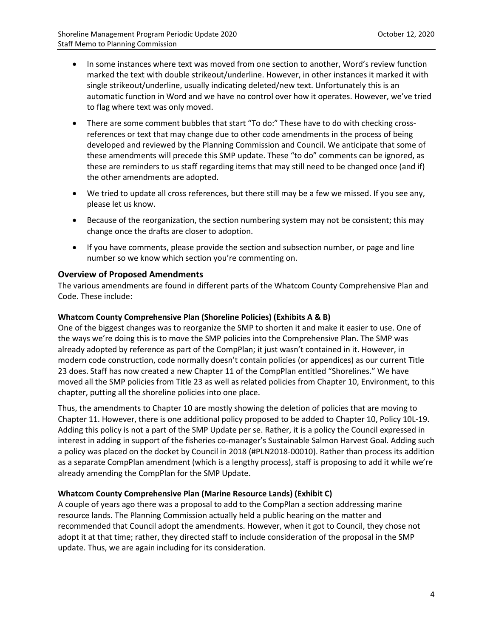- In some instances where text was moved from one section to another, Word's review function marked the text with double strikeout/underline. However, in other instances it marked it with single strikeout/underline, usually indicating deleted/new text. Unfortunately this is an automatic function in Word and we have no control over how it operates. However, we've tried to flag where text was only moved.
- There are some comment bubbles that start "To do:" These have to do with checking crossreferences or text that may change due to other code amendments in the process of being developed and reviewed by the Planning Commission and Council. We anticipate that some of these amendments will precede this SMP update. These "to do" comments can be ignored, as these are reminders to us staff regarding items that may still need to be changed once (and if) the other amendments are adopted.
- We tried to update all cross references, but there still may be a few we missed. If you see any, please let us know.
- Because of the reorganization, the section numbering system may not be consistent; this may change once the drafts are closer to adoption.
- If you have comments, please provide the section and subsection number, or page and line number so we know which section you're commenting on.

#### **Overview of Proposed Amendments**

The various amendments are found in different parts of the Whatcom County Comprehensive Plan and Code. These include:

#### **Whatcom County Comprehensive Plan (Shoreline Policies) (Exhibits A & B)**

One of the biggest changes was to reorganize the SMP to shorten it and make it easier to use. One of the ways we're doing this is to move the SMP policies into the Comprehensive Plan. The SMP was already adopted by reference as part of the CompPlan; it just wasn't contained in it. However, in modern code construction, code normally doesn't contain policies (or appendices) as our current Title 23 does. Staff has now created a new Chapter 11 of the CompPlan entitled "Shorelines." We have moved all the SMP policies from Title 23 as well as related policies from Chapter 10, Environment, to this chapter, putting all the shoreline policies into one place.

Thus, the amendments to Chapter 10 are mostly showing the deletion of policies that are moving to Chapter 11. However, there is one additional policy proposed to be added to Chapter 10, Policy 10L-19. Adding this policy is not a part of the SMP Update per se. Rather, it is a policy the Council expressed in interest in adding in support of the fisheries co-manager's Sustainable Salmon Harvest Goal. Adding such a policy was placed on the docket by Council in 2018 (#PLN2018-00010). Rather than process its addition as a separate CompPlan amendment (which is a lengthy process), staff is proposing to add it while we're already amending the CompPlan for the SMP Update.

#### **Whatcom County Comprehensive Plan (Marine Resource Lands) (Exhibit C)**

A couple of years ago there was a proposal to add to the CompPlan a section addressing marine resource lands. The Planning Commission actually held a public hearing on the matter and recommended that Council adopt the amendments. However, when it got to Council, they chose not adopt it at that time; rather, they directed staff to include consideration of the proposal in the SMP update. Thus, we are again including for its consideration.